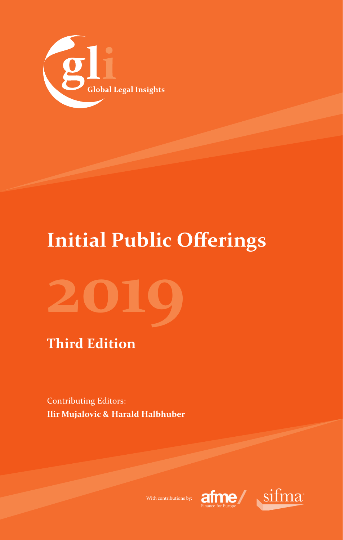

## **Initial Public Offerings**

# **2019**

## **Third Edition**

Contributing Editors: **Ilir Mujalovic & Harald Halbhuber**



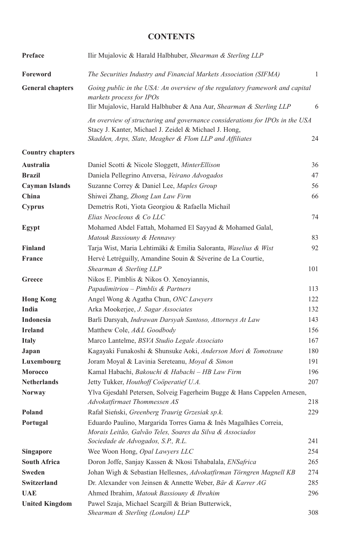#### **CONTENTS**

| Preface                 | Ilir Mujalovic & Harald Halbhuber, Shearman & Sterling LLP                                                                                                                                       |     |
|-------------------------|--------------------------------------------------------------------------------------------------------------------------------------------------------------------------------------------------|-----|
| Foreword                | The Securities Industry and Financial Markets Association (SIFMA)                                                                                                                                | 1   |
| <b>General chapters</b> | Going public in the USA: An overview of the regulatory framework and capital<br>markets process for IPOs<br>Ilir Mujalovic, Harald Halbhuber & Ana Aur, Shearman & Sterling LLP                  | 6   |
|                         | An overview of structuring and governance considerations for IPOs in the USA<br>Stacy J. Kanter, Michael J. Zeidel & Michael J. Hong,<br>Skadden, Arps, Slate, Meagher & Flom LLP and Affiliates | 24  |
| <b>Country chapters</b> |                                                                                                                                                                                                  |     |
| Australia               | Daniel Scotti & Nicole Sloggett, MinterEllison                                                                                                                                                   | 36  |
| <b>Brazil</b>           | Daniela Pellegrino Anversa, Veirano Advogados                                                                                                                                                    | 47  |
| Cayman Islands          | Suzanne Correy & Daniel Lee, Maples Group                                                                                                                                                        | 56  |
| China                   | Shiwei Zhang, Zhong Lun Law Firm                                                                                                                                                                 | 66  |
| Cyprus                  | Demetris Roti, Yiota Georgiou & Rafaella Michail                                                                                                                                                 |     |
|                         | Elias Neocleous & Co LLC                                                                                                                                                                         | 74  |
| Egypt                   | Mohamed Abdel Fattah, Mohamed El Sayyad & Mohamed Galal,                                                                                                                                         |     |
|                         | Matouk Bassiouny & Hennawy                                                                                                                                                                       | 83  |
| <b>Finland</b>          | Tarja Wist, Maria Lehtimäki & Emilia Saloranta, Waselius & Wist                                                                                                                                  | 92  |
| <b>France</b>           | Hervé Letréguilly, Amandine Souin & Séverine de La Courtie,                                                                                                                                      |     |
|                         | Shearman & Sterling LLP                                                                                                                                                                          | 101 |
| Greece                  | Nikos E. Pimblis & Nikos O. Xenoyiannis,                                                                                                                                                         |     |
|                         | Papadimitriou – Pimblis & Partners                                                                                                                                                               | 113 |
| <b>Hong Kong</b>        | Angel Wong & Agatha Chun, ONC Lawyers                                                                                                                                                            | 122 |
| India                   | Arka Mookerjee, J. Sagar Associates                                                                                                                                                              | 132 |
| Indonesia               | Barli Darsyah, Indrawan Darsyah Santoso, Attorneys At Law                                                                                                                                        | 143 |
| <b>Ireland</b>          | Matthew Cole, A&L Goodbody                                                                                                                                                                       | 156 |
| <b>Italy</b>            | Marco Lantelme, BSVA Studio Legale Associato                                                                                                                                                     | 167 |
| Japan                   | Kagayaki Funakoshi & Shunsuke Aoki, Anderson Mori & Tomotsune                                                                                                                                    | 180 |
| Luxembourg              | Joram Moyal & Lavinia Sereteanu, Moyal & Simon                                                                                                                                                   | 191 |
| <b>Morocco</b>          | Kamal Habachi, Bakouchi & Habachi - HB Law Firm                                                                                                                                                  | 196 |
| <b>Netherlands</b>      | Jetty Tukker, Houthoff Coöperatief U.A.                                                                                                                                                          | 207 |
| <b>Norway</b>           | Ylva Gjesdahl Petersen, Solveig Fagerheim Bugge & Hans Cappelen Arnesen,                                                                                                                         |     |
|                         | Advokatfirmaet Thommessen AS                                                                                                                                                                     | 218 |
| Poland                  | Rafał Sieński, Greenberg Traurig Grzesiak sp.k.                                                                                                                                                  | 229 |
| Portugal                | Eduardo Paulino, Margarida Torres Gama & Inês Magalhães Correia,<br>Morais Leitão, Galvão Teles, Soares da Silva & Associados                                                                    |     |
|                         | Sociedade de Advogados, S.P., R.L.                                                                                                                                                               | 241 |
| <b>Singapore</b>        | Wee Woon Hong, Opal Lawyers LLC                                                                                                                                                                  | 254 |
| <b>South Africa</b>     | Doron Joffe, Sanjay Kassen & Nkosi Tshabalala, ENSafrica                                                                                                                                         | 265 |
| Sweden                  | Johan Wigh & Sebastian Hellesnes, Advokatfirman Törngren Magnell KB                                                                                                                              | 274 |
| Switzerland             | Dr. Alexander von Jeinsen & Annette Weber, Bär & Karrer AG                                                                                                                                       | 285 |
| <b>UAE</b>              | Ahmed Ibrahim, Matouk Bassiouny & Ibrahim                                                                                                                                                        | 296 |
| <b>United Kingdom</b>   | Pawel Szaja, Michael Scargill & Brian Butterwick,<br>Shearman & Sterling (London) LLP                                                                                                            | 308 |
|                         |                                                                                                                                                                                                  |     |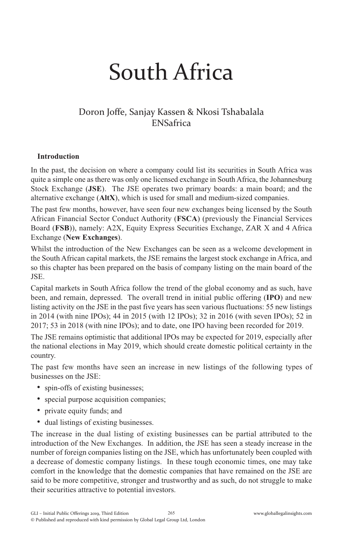# South Africa

#### Doron Joffe, Sanjay Kassen & Nkosi Tshabalala ENSafrica

#### **Introduction**

In the past, the decision on where a company could list its securities in South Africa was quite a simple one as there was only one licensed exchange in South Africa, the Johannesburg Stock Exchange (**JSE**). The JSE operates two primary boards: a main board; and the alternative exchange (**AltX**), which is used for small and medium-sized companies.

The past few months, however, have seen four new exchanges being licensed by the South African Financial Sector Conduct Authority (**FSCA**) (previously the Financial Services Board (**FSB**)), namely: A2X, Equity Express Securities Exchange, ZAR X and 4 Africa Exchange (**New Exchanges**).

Whilst the introduction of the New Exchanges can be seen as a welcome development in the South African capital markets, the JSE remains the largest stock exchange in Africa, and so this chapter has been prepared on the basis of company listing on the main board of the JSE.

Capital markets in South Africa follow the trend of the global economy and as such, have been, and remain, depressed. The overall trend in initial public offering (**IPO**) and new listing activity on the JSE in the past five years has seen various fluctuations: 55 new listings in 2014 (with nine IPOs); 44 in 2015 (with 12 IPOs); 32 in 2016 (with seven IPOs); 52 in 2017; 53 in 2018 (with nine IPOs); and to date, one IPO having been recorded for 2019.

The JSE remains optimistic that additional IPOs may be expected for 2019, especially after the national elections in May 2019, which should create domestic political certainty in the country.

The past few months have seen an increase in new listings of the following types of businesses on the JSE:

- spin-offs of existing businesses:
- special purpose acquisition companies;
- private equity funds; and
- dual listings of existing businesses.

The increase in the dual listing of existing businesses can be partial attributed to the introduction of the New Exchanges. In addition, the JSE has seen a steady increase in the number of foreign companies listing on the JSE, which has unfortunately been coupled with a decrease of domestic company listings. In these tough economic times, one may take comfort in the knowledge that the domestic companies that have remained on the JSE are said to be more competitive, stronger and trustworthy and as such, do not struggle to make their securities attractive to potential investors.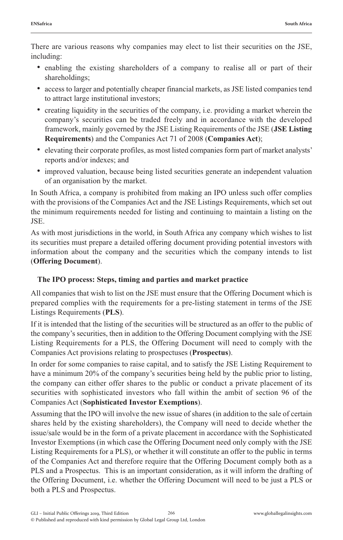There are various reasons why companies may elect to list their securities on the JSE, including:

- enabling the existing shareholders of a company to realise all or part of their shareholdings;
- access to larger and potentially cheaper financial markets, as JSE listed companies tend to attract large institutional investors;
- creating liquidity in the securities of the company, i.e. providing a market wherein the company's securities can be traded freely and in accordance with the developed framework, mainly governed by the JSE Listing Requirements of the JSE (**JSE Listing Requirements**) and the Companies Act 71 of 2008 (**Companies Act**);
- elevating their corporate profiles, as most listed companies form part of market analysts' reports and/or indexes; and
- improved valuation, because being listed securities generate an independent valuation of an organisation by the market.

In South Africa, a company is prohibited from making an IPO unless such offer complies with the provisions of the Companies Act and the JSE Listings Requirements, which set out the minimum requirements needed for listing and continuing to maintain a listing on the JSE.

As with most jurisdictions in the world, in South Africa any company which wishes to list its securities must prepare a detailed offering document providing potential investors with information about the company and the securities which the company intends to list (**Offering Document**).

#### **The IPO process: Steps, timing and parties and market practice**

All companies that wish to list on the JSE must ensure that the Offering Document which is prepared complies with the requirements for a pre-listing statement in terms of the JSE Listings Requirements (**PLS**).

If it is intended that the listing of the securities will be structured as an offer to the public of the company's securities, then in addition to the Offering Document complying with the JSE Listing Requirements for a PLS, the Offering Document will need to comply with the Companies Act provisions relating to prospectuses (**Prospectus**).

In order for some companies to raise capital, and to satisfy the JSE Listing Requirement to have a minimum 20% of the company's securities being held by the public prior to listing, the company can either offer shares to the public or conduct a private placement of its securities with sophisticated investors who fall within the ambit of section 96 of the Companies Act (**Sophisticated Investor Exemptions**).

Assuming that the IPO will involve the new issue of shares (in addition to the sale of certain shares held by the existing shareholders), the Company will need to decide whether the issue/sale would be in the form of a private placement in accordance with the Sophisticated Investor Exemptions (in which case the Offering Document need only comply with the JSE Listing Requirements for a PLS), or whether it will constitute an offer to the public in terms of the Companies Act and therefore require that the Offering Document comply both as a PLS and a Prospectus. This is an important consideration, as it will inform the drafting of the Offering Document, i.e. whether the Offering Document will need to be just a PLS or both a PLS and Prospectus.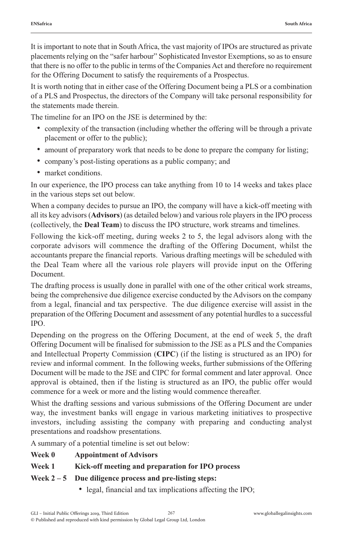It is important to note that in South Africa, the vast majority of IPOs are structured as private placements relying on the "safer harbour" Sophisticated Investor Exemptions, so as to ensure that there is no offer to the public in terms of the Companies Act and therefore no requirement for the Offering Document to satisfy the requirements of a Prospectus.

It is worth noting that in either case of the Offering Document being a PLS or a combination of a PLS and Prospectus, the directors of the Company will take personal responsibility for the statements made therein.

The timeline for an IPO on the JSE is determined by the:

- complexity of the transaction (including whether the offering will be through a private placement or offer to the public);
- amount of preparatory work that needs to be done to prepare the company for listing;
- company's post-listing operations as a public company; and
- market conditions.

In our experience, the IPO process can take anything from 10 to 14 weeks and takes place in the various steps set out below.

When a company decides to pursue an IPO, the company will have a kick-off meeting with all its key advisors (**Advisors**) (as detailed below) and various role players in the IPO process (collectively, the **Deal Team**) to discuss the IPO structure, work streams and timelines.

Following the kick-off meeting, during weeks 2 to 5, the legal advisors along with the corporate advisors will commence the drafting of the Offering Document, whilst the accountants prepare the financial reports. Various drafting meetings will be scheduled with the Deal Team where all the various role players will provide input on the Offering **Document** 

The drafting process is usually done in parallel with one of the other critical work streams, being the comprehensive due diligence exercise conducted by the Advisors on the company from a legal, financial and tax perspective. The due diligence exercise will assist in the preparation of the Offering Document and assessment of any potential hurdles to a successful IPO.

Depending on the progress on the Offering Document, at the end of week 5, the draft Offering Document will be finalised for submission to the JSE as a PLS and the Companies and Intellectual Property Commission (**CIPC**) (if the listing is structured as an IPO) for review and informal comment. In the following weeks, further submissions of the Offering Document will be made to the JSE and CIPC for formal comment and later approval. Once approval is obtained, then if the listing is structured as an IPO, the public offer would commence for a week or more and the listing would commence thereafter.

Whist the drafting sessions and various submissions of the Offering Document are under way, the investment banks will engage in various marketing initiatives to prospective investors, including assisting the company with preparing and conducting analyst presentations and roadshow presentations.

A summary of a potential timeline is set out below:

- **Week 0 Appointment of Advisors**
- **Week 1 Kick-off meeting and preparation for IPO process**

#### **Week 2 – 5 Due diligence process and pre-listing steps:**

• legal, financial and tax implications affecting the IPO;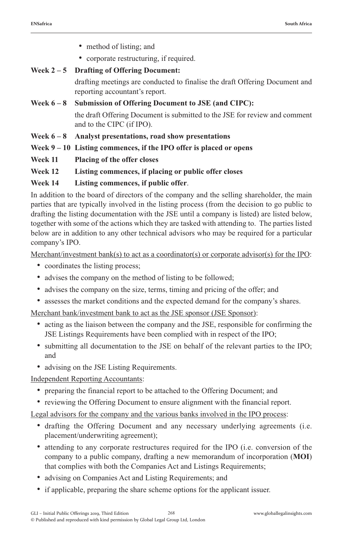- method of listing; and
- corporate restructuring, if required.

### **Week 2 – 5 Drafting of Offering Document:**

drafting meetings are conducted to finalise the draft Offering Document and reporting accountant's report.

#### **Week 6 – 8 Submission of Offering Document to JSE (and CIPC):** the draft Offering Document is submitted to the JSE for review and comment and to the CIPC (if IPO).

- **Week 6 8 Analyst presentations, road show presentations**
- **Week 9 10 Listing commences, if the IPO offer is placed or opens**
- **Week 11 Placing of the offer closes**

#### **Week 12 Listing commences, if placing or public offer closes**

#### **Week 14 Listing commences, if public offer**.

In addition to the board of directors of the company and the selling shareholder, the main parties that are typically involved in the listing process (from the decision to go public to drafting the listing documentation with the JSE until a company is listed) are listed below, together with some of the actions which they are tasked with attending to. The parties listed below are in addition to any other technical advisors who may be required for a particular company's IPO.

Merchant/investment bank(s) to act as a coordinator(s) or corporate advisor(s) for the IPO:

- coordinates the listing process;
- advises the company on the method of listing to be followed;
- advises the company on the size, terms, timing and pricing of the offer; and
- assesses the market conditions and the expected demand for the company's shares.

Merchant bank/investment bank to act as the JSE sponsor (JSE Sponsor):

- acting as the liaison between the company and the JSE, responsible for confirming the JSE Listings Requirements have been complied with in respect of the IPO;
- submitting all documentation to the JSE on behalf of the relevant parties to the IPO; and
- advising on the JSE Listing Requirements.

Independent Reporting Accountants:

- preparing the financial report to be attached to the Offering Document; and
- reviewing the Offering Document to ensure alignment with the financial report.

Legal advisors for the company and the various banks involved in the IPO process:

- drafting the Offering Document and any necessary underlying agreements (i.e. placement/underwriting agreement);
- attending to any corporate restructures required for the IPO (i.e. conversion of the company to a public company, drafting a new memorandum of incorporation (**MOI**) that complies with both the Companies Act and Listings Requirements;
- advising on Companies Act and Listing Requirements; and
- if applicable, preparing the share scheme options for the applicant issuer.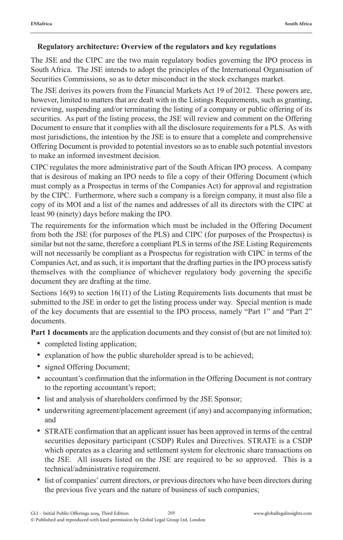#### **Regulatory architecture: Overview of the regulators and key regulations**

The JSE and the CIPC are the two main regulatory bodies governing the IPO process in South Africa. The JSE intends to adopt the principles of the International Organisation of Securities Commissions, so as to deter misconduct in the stock exchanges market.

The JSE derives its powers from the Financial Markets Act 19 of 2012. These powers are, however, limited to matters that are dealt with in the Listings Requirements, such as granting, reviewing, suspending and/or terminating the listing of a company or public offering of its securities. As part of the listing process, the JSE will review and comment on the Offering Document to ensure that it complies with all the disclosure requirements for a PLS. As with most jurisdictions, the intention by the JSE is to ensure that a complete and comprehensive Offering Document is provided to potential investors so as to enable such potential investors to make an informed investment decision.

CIPC regulates the more administrative part of the South African IPO process. A company that is desirous of making an IPO needs to file a copy of their Offering Document (which must comply as a Prospectus in terms of the Companies Act) for approval and registration by the CIPC. Furthermore, where such a company is a foreign company, it must also file a copy of its MOI and a list of the names and addresses of all its directors with the CIPC at least 90 (ninety) days before making the IPO.

The requirements for the information which must be included in the Offering Document from both the JSE (for purposes of the PLS) and CIPC (for purposes of the Prospectus) is similar but not the same, therefore a compliant PLS in terms of the JSE Listing Requirements will not necessarily be compliant as a Prospectus for registration with CIPC in terms of the Companies Act, and as such, it is important that the drafting parties in the IPO process satisfy themselves with the compliance of whichever regulatory body governing the specific document they are drafting at the time.

Sections  $16(9)$  to section  $16(11)$  of the Listing Requirements lists documents that must be submitted to the JSE in order to get the listing process under way. Special mention is made of the key documents that are essential to the IPO process, namely "Part 1" and "Part 2" documents.

**Part 1 documents** are the application documents and they consist of (but are not limited to):

- completed listing application;
- explanation of how the public shareholder spread is to be achieved;
- signed Offering Document;
- accountant's confirmation that the information in the Offering Document is not contrary to the reporting accountant's report;
- list and analysis of shareholders confirmed by the JSE Sponsor;
- underwriting agreement/placement agreement (if any) and accompanying information; and
- STRATE confirmation that an applicant issuer has been approved in terms of the central securities depositary participant (CSDP) Rules and Directives. STRATE is a CSDP which operates as a clearing and settlement system for electronic share transactions on the JSE. All issuers listed on the JSE are required to be so approved. This is a technical/administrative requirement.
- list of companies' current directors, or previous directors who have been directors during the previous five years and the nature of business of such companies;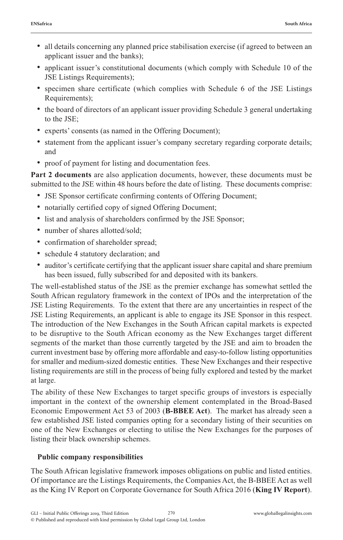- all details concerning any planned price stabilisation exercise (if agreed to between an applicant issuer and the banks);
- applicant issuer's constitutional documents (which comply with Schedule 10 of the JSE Listings Requirements);
- specimen share certificate (which complies with Schedule 6 of the JSE Listings Requirements);
- the board of directors of an applicant issuer providing Schedule 3 general undertaking to the JSE;
- experts' consents (as named in the Offering Document);
- statement from the applicant issuer's company secretary regarding corporate details; and
- proof of payment for listing and documentation fees.

**Part 2 documents** are also application documents, however, these documents must be submitted to the JSE within 48 hours before the date of listing. These documents comprise:

- JSE Sponsor certificate confirming contents of Offering Document;
- notarially certified copy of signed Offering Document;
- list and analysis of shareholders confirmed by the JSE Sponsor;
- number of shares allotted/sold;
- confirmation of shareholder spread;
- schedule 4 statutory declaration; and
- auditor's certificate certifying that the applicant issuer share capital and share premium has been issued, fully subscribed for and deposited with its bankers.

The well-established status of the JSE as the premier exchange has somewhat settled the South African regulatory framework in the context of IPOs and the interpretation of the JSE Listing Requirements. To the extent that there are any uncertainties in respect of the JSE Listing Requirements, an applicant is able to engage its JSE Sponsor in this respect. The introduction of the New Exchanges in the South African capital markets is expected to be disruptive to the South African economy as the New Exchanges target different segments of the market than those currently targeted by the JSE and aim to broaden the current investment base by offering more affordable and easy-to-follow listing opportunities for smaller and medium-sized domestic entities. These New Exchanges and their respective listing requirements are still in the process of being fully explored and tested by the market at large.

The ability of these New Exchanges to target specific groups of investors is especially important in the context of the ownership element contemplated in the Broad-Based Economic Empowerment Act 53 of 2003 (**B-BBEE Act**). The market has already seen a few established JSE listed companies opting for a secondary listing of their securities on one of the New Exchanges or electing to utilise the New Exchanges for the purposes of listing their black ownership schemes.

#### **Public company responsibilities**

The South African legislative framework imposes obligations on public and listed entities. Of importance are the Listings Requirements, the Companies Act, the B-BBEE Act as well as the King IV Report on Corporate Governance for South Africa 2016 (**King IV Report**).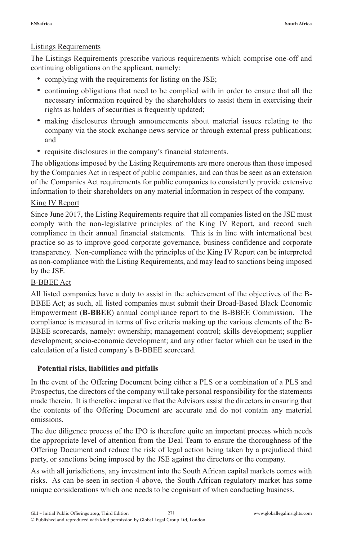#### Listings Requirements

The Listings Requirements prescribe various requirements which comprise one-off and continuing obligations on the applicant, namely:

- complying with the requirements for listing on the JSE;
- continuing obligations that need to be complied with in order to ensure that all the necessary information required by the shareholders to assist them in exercising their rights as holders of securities is frequently updated;
- making disclosures through announcements about material issues relating to the company via the stock exchange news service or through external press publications; and
- requisite disclosures in the company's financial statements.

The obligations imposed by the Listing Requirements are more onerous than those imposed by the Companies Act in respect of public companies, and can thus be seen as an extension of the Companies Act requirements for public companies to consistently provide extensive information to their shareholders on any material information in respect of the company.

#### King IV Report

Since June 2017, the Listing Requirements require that all companies listed on the JSE must comply with the non-legislative principles of the King IV Report, and record such compliance in their annual financial statements. This is in line with international best practice so as to improve good corporate governance, business confidence and corporate transparency. Non-compliance with the principles of the King IV Report can be interpreted as non-compliance with the Listing Requirements, and may lead to sanctions being imposed by the JSE.

#### B-BBEE Act

All listed companies have a duty to assist in the achievement of the objectives of the B-BBEE Act; as such, all listed companies must submit their Broad-Based Black Economic Empowerment (**B-BBEE**) annual compliance report to the B-BBEE Commission. The compliance is measured in terms of five criteria making up the various elements of the B-BBEE scorecards, namely: ownership; management control; skills development; supplier development; socio-economic development; and any other factor which can be used in the calculation of a listed company's B-BBEE scorecard.

#### **Potential risks, liabilities and pitfalls**

In the event of the Offering Document being either a PLS or a combination of a PLS and Prospectus, the directors of the company will take personal responsibility for the statements made therein. It is therefore imperative that the Advisors assist the directors in ensuring that the contents of the Offering Document are accurate and do not contain any material omissions.

The due diligence process of the IPO is therefore quite an important process which needs the appropriate level of attention from the Deal Team to ensure the thoroughness of the Offering Document and reduce the risk of legal action being taken by a prejudiced third party, or sanctions being imposed by the JSE against the directors or the company.

As with all jurisdictions, any investment into the South African capital markets comes with risks. As can be seen in section 4 above, the South African regulatory market has some unique considerations which one needs to be cognisant of when conducting business.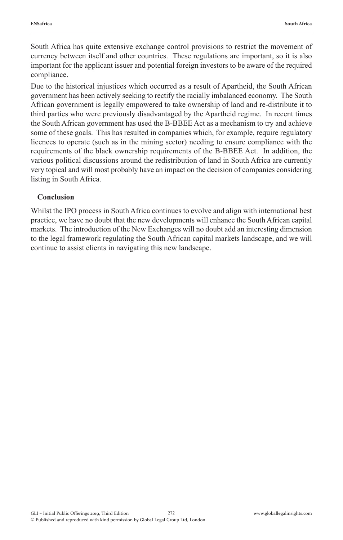South Africa has quite extensive exchange control provisions to restrict the movement of currency between itself and other countries. These regulations are important, so it is also important for the applicant issuer and potential foreign investors to be aware of the required compliance.

Due to the historical injustices which occurred as a result of Apartheid, the South African government has been actively seeking to rectify the racially imbalanced economy. The South African government is legally empowered to take ownership of land and re-distribute it to third parties who were previously disadvantaged by the Apartheid regime. In recent times the South African government has used the B-BBEE Act as a mechanism to try and achieve some of these goals. This has resulted in companies which, for example, require regulatory licences to operate (such as in the mining sector) needing to ensure compliance with the requirements of the black ownership requirements of the B-BBEE Act. In addition, the various political discussions around the redistribution of land in South Africa are currently very topical and will most probably have an impact on the decision of companies considering listing in South Africa.

#### **Conclusion**

Whilst the IPO process in South Africa continues to evolve and align with international best practice, we have no doubt that the new developments will enhance the South African capital markets. The introduction of the New Exchanges will no doubt add an interesting dimension to the legal framework regulating the South African capital markets landscape, and we will continue to assist clients in navigating this new landscape.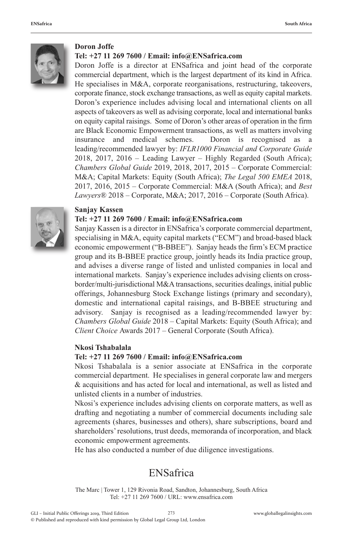

#### **Doron Joffe**

#### **Tel: +27 11 269 7600 / Email: info@ENSafrica.com**

Doron Joffe is a director at ENSafrica and joint head of the corporate commercial department, which is the largest department of its kind in Africa. He specialises in M&A, corporate reorganisations, restructuring, takeovers, corporate finance, stock exchange transactions, as well as equity capital markets. Doron's experience includes advising local and international clients on all aspects of takeovers as well as advising corporate, local and international banks on equity capital raisings. Some of Doron's other areas of operation in the firm are Black Economic Empowerment transactions, as well as matters involving insurance and medical schemes. Doron is recognised as leading/recommended lawyer by: *IFLR1000 Financial and Corporate Guide* 2018, 2017, 2016 – Leading Lawyer – Highly Regarded (South Africa); *Chambers Global Guide* 2019, 2018, 2017, 2015 – Corporate Commercial: M&A; Capital Markets: Equity (South Africa); *The Legal 500 EMEA* 2018, 2017, 2016, 2015 – Corporate Commercial: M&A (South Africa); and *Best Lawyers®* 2018 – Corporate, M&A; 2017, 2016 – Corporate (South Africa).



#### **Sanjay Kassen**

#### **Tel: +27 11 269 7600 / Email: info@ENSafrica.com**

Sanjay Kassen is a director in ENSafrica's corporate commercial department, specialising in M&A, equity capital markets ("ECM") and broad-based black economic empowerment ("B-BBEE"). Sanjay heads the firm's ECM practice group and its B-BBEE practice group, jointly heads its India practice group, and advises a diverse range of listed and unlisted companies in local and international markets. Sanjay's experience includes advising clients on crossborder/multi-jurisdictional M&A transactions, securities dealings, initial public offerings, Johannesburg Stock Exchange listings (primary and secondary), domestic and international capital raisings, and B-BBEE structuring and advisory. Sanjay is recognised as a leading/recommended lawyer by: *Chambers Global Guide* 2018 – Capital Markets: Equity (South Africa); and *Client Choice* Awards 2017 – General Corporate (South Africa).

#### **Nkosi Tshabalala**

#### **Tel: +27 11 269 7600 / Email: info@ENSafrica.com**

Nkosi Tshabalala is a senior associate at ENSafrica in the corporate commercial department. He specialises in general corporate law and mergers & acquisitions and has acted for local and international, as well as listed and unlisted clients in a number of industries.

Nkosi's experience includes advising clients on corporate matters, as well as drafting and negotiating a number of commercial documents including sale agreements (shares, businesses and others), share subscriptions, board and shareholders' resolutions, trust deeds, memoranda of incorporation, and black economic empowerment agreements.

He has also conducted a number of due diligence investigations.

#### ENSafrica

The Marc | Tower 1, 129 Rivonia Road, Sandton, Johannesburg, South Africa Tel: +27 11 269 7600 / URL: www.ensafrica.com